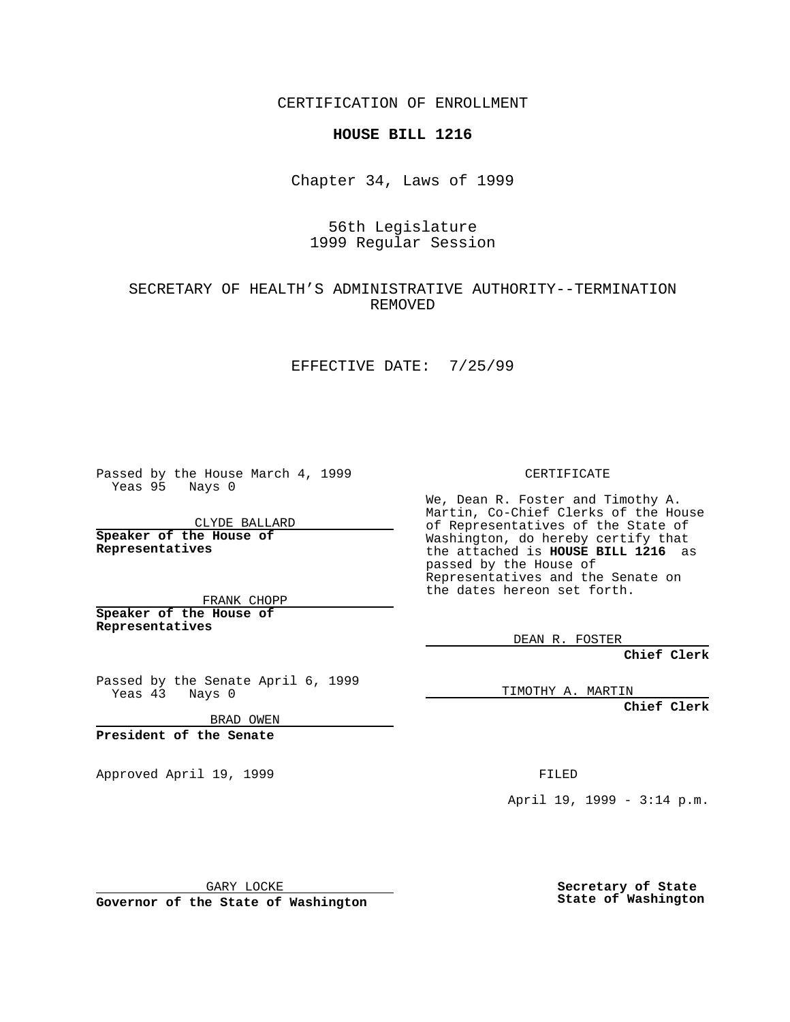CERTIFICATION OF ENROLLMENT

# **HOUSE BILL 1216**

Chapter 34, Laws of 1999

# 56th Legislature 1999 Regular Session

# SECRETARY OF HEALTH'S ADMINISTRATIVE AUTHORITY--TERMINATION REMOVED

#### EFFECTIVE DATE: 7/25/99

Passed by the House March 4, 1999 Yeas 95 Nays 0

CLYDE BALLARD **Speaker of the House of Representatives**

FRANK CHOPP **Speaker of the House of**

**Representatives**

Passed by the Senate April 6, 1999 Yeas 43 Nays 0

BRAD OWEN

**President of the Senate**

Approved April 19, 1999 **FILED** 

CERTIFICATE

We, Dean R. Foster and Timothy A. Martin, Co-Chief Clerks of the House of Representatives of the State of Washington, do hereby certify that the attached is **HOUSE BILL 1216** as passed by the House of Representatives and the Senate on the dates hereon set forth.

DEAN R. FOSTER

**Chief Clerk**

TIMOTHY A. MARTIN

**Chief Clerk**

April 19, 1999 - 3:14 p.m.

GARY LOCKE

**Governor of the State of Washington**

**Secretary of State State of Washington**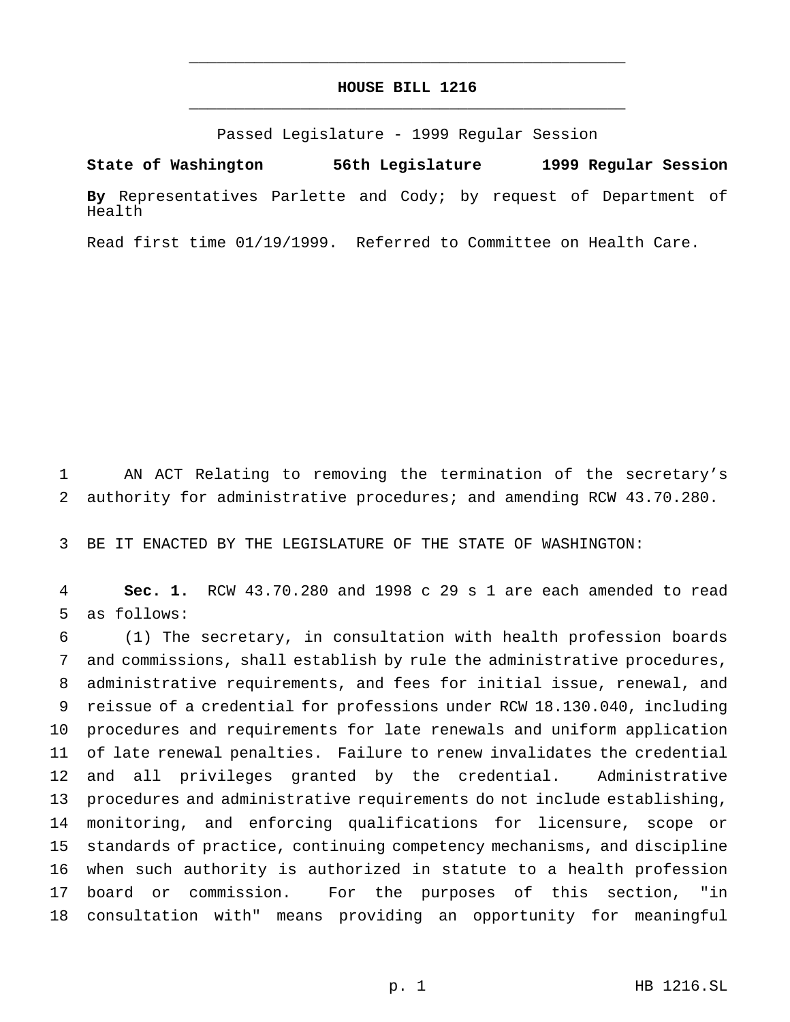# **HOUSE BILL 1216** \_\_\_\_\_\_\_\_\_\_\_\_\_\_\_\_\_\_\_\_\_\_\_\_\_\_\_\_\_\_\_\_\_\_\_\_\_\_\_\_\_\_\_\_\_\_\_

\_\_\_\_\_\_\_\_\_\_\_\_\_\_\_\_\_\_\_\_\_\_\_\_\_\_\_\_\_\_\_\_\_\_\_\_\_\_\_\_\_\_\_\_\_\_\_

Passed Legislature - 1999 Regular Session

**State of Washington 56th Legislature 1999 Regular Session**

**By** Representatives Parlette and Cody; by request of Department of Health

Read first time 01/19/1999. Referred to Committee on Health Care.

 AN ACT Relating to removing the termination of the secretary's authority for administrative procedures; and amending RCW 43.70.280.

BE IT ENACTED BY THE LEGISLATURE OF THE STATE OF WASHINGTON:

 **Sec. 1.** RCW 43.70.280 and 1998 c 29 s 1 are each amended to read as follows:

 (1) The secretary, in consultation with health profession boards and commissions, shall establish by rule the administrative procedures, administrative requirements, and fees for initial issue, renewal, and reissue of a credential for professions under RCW 18.130.040, including procedures and requirements for late renewals and uniform application of late renewal penalties. Failure to renew invalidates the credential and all privileges granted by the credential. Administrative procedures and administrative requirements do not include establishing, monitoring, and enforcing qualifications for licensure, scope or standards of practice, continuing competency mechanisms, and discipline when such authority is authorized in statute to a health profession board or commission. For the purposes of this section, "in consultation with" means providing an opportunity for meaningful